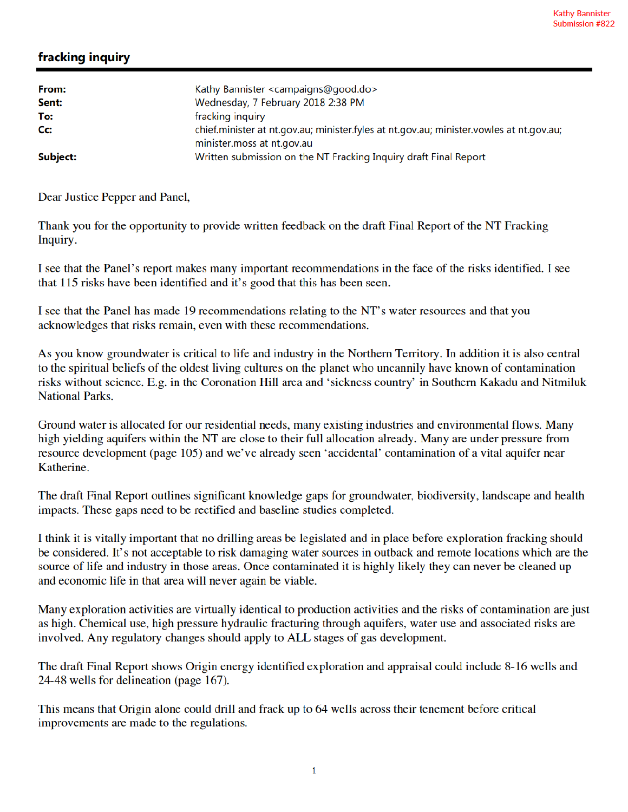## fracking inquiry

| From:<br>Sent: | Kathy Bannister <campaigns@good.do><br/>Wednesday, 7 February 2018 2:38 PM</campaigns@good.do>                        |
|----------------|-----------------------------------------------------------------------------------------------------------------------|
| To:            | fracking inquiry                                                                                                      |
| Cc:            | chief.minister at nt.gov.au; minister.fyles at nt.gov.au; minister.vowles at nt.gov.au;<br>minister.moss at nt.gov.au |
| Subject:       | Written submission on the NT Fracking Inquiry draft Final Report                                                      |

Dear Justice Pepper and Panel,

Thank you for the opportunity to provide written feedback on the draft Final Report of the NT Fracking Inquiry.

I see that the Panel's report makes many important recommendations in the face of the risks identified. I see that 115 risks have been identified and it's good that this has been seen.

I see that the Panel has made 19 recommendations relating to the NT's water resources and that you acknowledges that risks remain, even with these recommendations.

As you know groundwater is critical to life and industry in the Northern Territory. In addition it is also central to the spiritual beliefs of the oldest living cultures on the planet who uncannily have known of contamination risks without science. E.g. in the Coronation Hill area and 'sickness country' in Southern Kakadu and Nitmiluk **National Parks.** 

Ground water is allocated for our residential needs, many existing industries and environmental flows. Many high yielding aquifers within the NT are close to their full allocation already. Many are under pressure from resource development (page 105) and we've already seen 'accidental' contamination of a vital aquifer near Katherine.

The draft Final Report outlines significant knowledge gaps for groundwater, biodiversity, landscape and health impacts. These gaps need to be rectified and baseline studies completed.

I think it is vitally important that no drilling areas be legislated and in place before exploration fracking should be considered. It's not acceptable to risk damaging water sources in outback and remote locations which are the source of life and industry in those areas. Once contaminated it is highly likely they can never be cleaned up and economic life in that area will never again be viable.

Many exploration activities are virtually identical to production activities and the risks of contamination are just as high. Chemical use, high pressure hydraulic fracturing through aquifers, water use and associated risks are involved. Any regulatory changes should apply to ALL stages of gas development.

The draft Final Report shows Origin energy identified exploration and appraisal could include 8-16 wells and 24-48 wells for delineation (page 167).

This means that Origin alone could drill and frack up to 64 wells across their tenement before critical improvements are made to the regulations.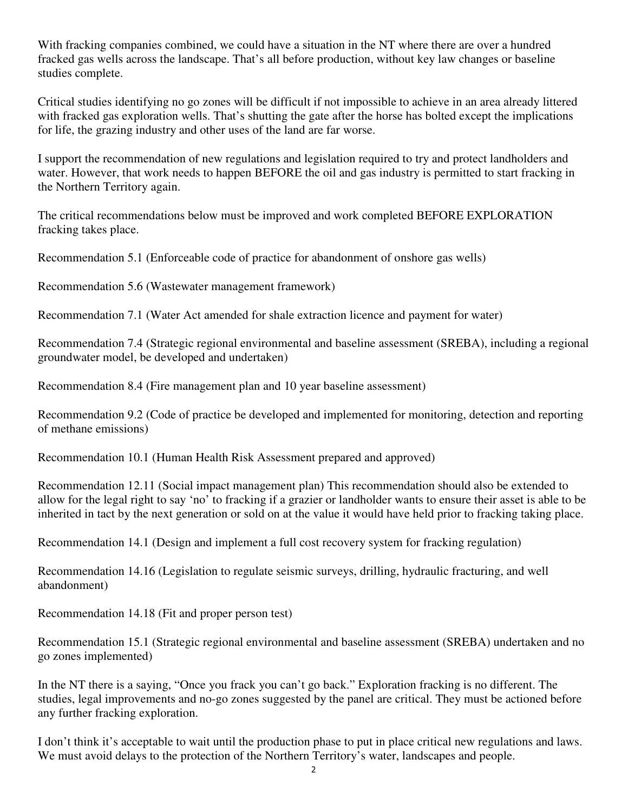With fracking companies combined, we could have a situation in the NT where there are over a hundred fracked gas wells across the landscape. That's all before production, without key law changes or baseline studies complete.

Critical studies identifying no go zones will be difficult if not impossible to achieve in an area already littered with fracked gas exploration wells. That's shutting the gate after the horse has bolted except the implications for life, the grazing industry and other uses of the land are far worse.

I support the recommendation of new regulations and legislation required to try and protect landholders and water. However, that work needs to happen BEFORE the oil and gas industry is permitted to start fracking in the Northern Territory again.

The critical recommendations below must be improved and work completed BEFORE EXPLORATION fracking takes place.

Recommendation 5.1 (Enforceable code of practice for abandonment of onshore gas wells)

Recommendation 5.6 (Wastewater management framework)

Recommendation 7.1 (Water Act amended for shale extraction licence and payment for water)

Recommendation 7.4 (Strategic regional environmental and baseline assessment (SREBA), including a regional groundwater model, be developed and undertaken)

Recommendation 8.4 (Fire management plan and 10 year baseline assessment)

Recommendation 9.2 (Code of practice be developed and implemented for monitoring, detection and reporting of methane emissions)

Recommendation 10.1 (Human Health Risk Assessment prepared and approved)

Recommendation 12.11 (Social impact management plan) This recommendation should also be extended to allow for the legal right to say 'no' to fracking if a grazier or landholder wants to ensure their asset is able to be inherited in tact by the next generation or sold on at the value it would have held prior to fracking taking place.

Recommendation 14.1 (Design and implement a full cost recovery system for fracking regulation)

Recommendation 14.16 (Legislation to regulate seismic surveys, drilling, hydraulic fracturing, and well abandonment)

Recommendation 14.18 (Fit and proper person test)

Recommendation 15.1 (Strategic regional environmental and baseline assessment (SREBA) undertaken and no go zones implemented)

In the NT there is a saying, "Once you frack you can't go back." Exploration fracking is no different. The studies, legal improvements and no-go zones suggested by the panel are critical. They must be actioned before any further fracking exploration.

I don't think it's acceptable to wait until the production phase to put in place critical new regulations and laws. We must avoid delays to the protection of the Northern Territory's water, landscapes and people.